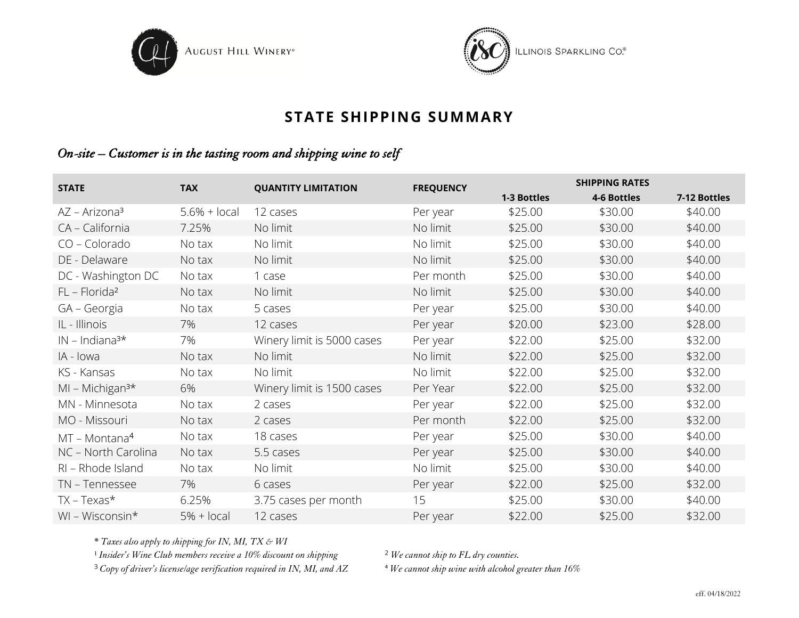



## **STATE SHIPPING SUMMARY**

## *On-site – Customer is in the tasting room and shipping wine to self*

| <b>STATE</b>                 | <b>TAX</b>      | <b>QUANTITY LIMITATION</b> | <b>FREQUENCY</b> | <b>SHIPPING RATES</b> |             |              |  |  |
|------------------------------|-----------------|----------------------------|------------------|-----------------------|-------------|--------------|--|--|
|                              |                 |                            |                  | 1-3 Bottles           | 4-6 Bottles | 7-12 Bottles |  |  |
| AZ – Arizona <sup>3</sup>    | $5.6\% + local$ | 12 cases                   | Per year         | \$25.00               | \$30.00     | \$40.00      |  |  |
| CA - California              | 7.25%           | No limit                   | No limit         | \$25.00               | \$30.00     | \$40.00      |  |  |
| $CO - Colorado$              | No tax          | No limit                   | No limit         | \$25.00               | \$30.00     | \$40.00      |  |  |
| DE - Delaware                | No tax          | No limit                   | No limit         | \$25.00               | \$30.00     | \$40.00      |  |  |
| DC - Washington DC           | No tax          | 1 case                     | Per month        | \$25.00               | \$30.00     | \$40.00      |  |  |
| $FL$ – Florida <sup>2</sup>  | No tax          | No limit                   | No limit         | \$25.00               | \$30.00     | \$40.00      |  |  |
| GA - Georgia                 | No tax          | 5 cases                    | Per year         | \$25.00               | \$30.00     | \$40.00      |  |  |
| IL - Illinois                | 7%              | 12 cases                   | Per year         | \$20.00               | \$23.00     | \$28.00      |  |  |
| $IN$ – Indiana <sup>3*</sup> | 7%              | Winery limit is 5000 cases | Per year         | \$22.00               | \$25.00     | \$32.00      |  |  |
| IA - Iowa                    | No tax          | No limit                   | No limit         | \$22.00               | \$25.00     | \$32.00      |  |  |
| KS - Kansas                  | No tax          | No limit                   | No limit         | \$22.00               | \$25.00     | \$32.00      |  |  |
| $MI - Michigan3*$            | 6%              | Winery limit is 1500 cases | Per Year         | \$22.00               | \$25.00     | \$32.00      |  |  |
| MN - Minnesota               | No tax          | 2 cases                    | Per year         | \$22.00               | \$25.00     | \$32.00      |  |  |
| MO - Missouri                | No tax          | 2 cases                    | Per month        | \$22.00               | \$25.00     | \$32.00      |  |  |
| $MT - Montana4$              | No tax          | 18 cases                   | Per year         | \$25.00               | \$30.00     | \$40.00      |  |  |
| NC - North Carolina          | No tax          | 5.5 cases                  | Per year         | \$25.00               | \$30.00     | \$40.00      |  |  |
| RI - Rhode Island            | No tax          | No limit                   | No limit         | \$25.00               | \$30.00     | \$40.00      |  |  |
| TN - Tennessee               | 7%              | 6 cases                    | Per year         | \$22.00               | \$25.00     | \$32.00      |  |  |
| $TX - Texas*$                | 6.25%           | 3.75 cases per month       | 15               | \$25.00               | \$30.00     | \$40.00      |  |  |
| WI - Wisconsin*              | $5% + local$    | 12 cases                   | Per year         | \$22.00               | \$25.00     | \$32.00      |  |  |

\* *Taxes also apply to shipping for IN, MI, TX & WI*

<sup>1</sup> Insider's Wine Club members receive a 10% discount on shipping <sup>2</sup> We cannot ship to FL dry counties.

<sup>3</sup> Copy of driver's license/age verification required in IN, MI, and AZ <sup>4</sup> We cannot ship wine with alcohol greater than 16%